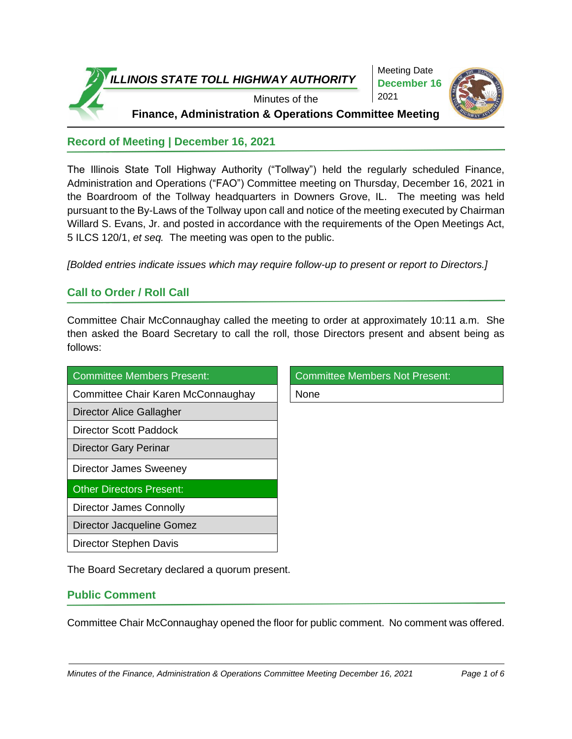

Meeting Date **December 16** 2021



**Record of Meeting | December 16, 2021**

The Illinois State Toll Highway Authority ("Tollway") held the regularly scheduled Finance, Administration and Operations ("FAO") Committee meeting on Thursday, December 16, 2021 in the Boardroom of the Tollway headquarters in Downers Grove, IL. The meeting was held pursuant to the By-Laws of the Tollway upon call and notice of the meeting executed by Chairman Willard S. Evans, Jr. and posted in accordance with the requirements of the Open Meetings Act, 5 ILCS 120/1, *et seq.* The meeting was open to the public.

*[Bolded entries indicate issues which may require follow-up to present or report to Directors.]*

### **Call to Order / Roll Call**

Committee Chair McConnaughay called the meeting to order at approximately 10:11 a.m. She then asked the Board Secretary to call the roll, those Directors present and absent being as follows:

| Committee Members Present:         | <b>Committee Members Not Present:</b> |
|------------------------------------|---------------------------------------|
| Committee Chair Karen McConnaughay | None                                  |
| Director Alice Gallagher           |                                       |
| <b>Director Scott Paddock</b>      |                                       |
| <b>Director Gary Perinar</b>       |                                       |
| <b>Director James Sweeney</b>      |                                       |
| <b>Other Directors Present:</b>    |                                       |
| Director James Connolly            |                                       |
| Director Jacqueline Gomez          |                                       |
| Director Stephen Davis             |                                       |

The Board Secretary declared a quorum present.

### **Public Comment**

Committee Chair McConnaughay opened the floor for public comment. No comment was offered.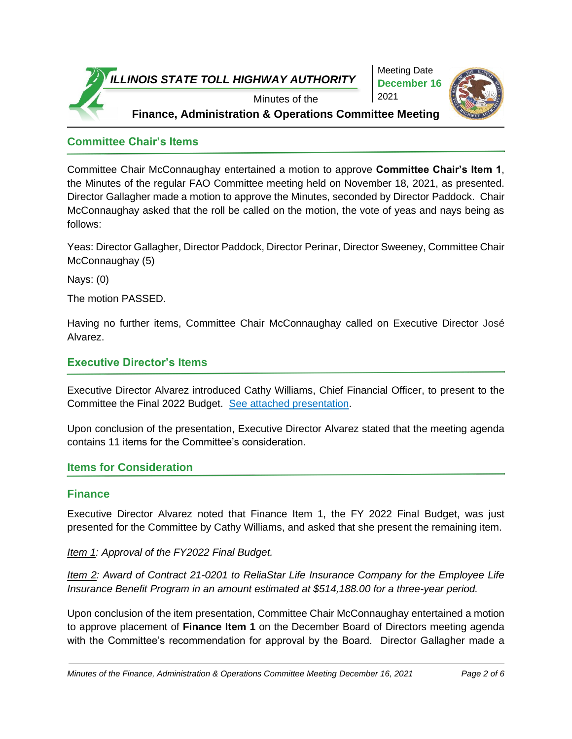

Meeting Date **December 16** 2021



**Committee Chair's Items**

Committee Chair McConnaughay entertained a motion to approve **Committee Chair's Item 1**, the Minutes of the regular FAO Committee meeting held on November 18, 2021, as presented. Director Gallagher made a motion to approve the Minutes, seconded by Director Paddock. Chair McConnaughay asked that the roll be called on the motion, the vote of yeas and nays being as follows:

Yeas: Director Gallagher, Director Paddock, Director Perinar, Director Sweeney, Committee Chair McConnaughay (5)

Nays: (0)

The motion PASSED.

Having no further items, Committee Chair McConnaughay called on Executive Director José Alvarez.

### **Executive Director's Items**

Executive Director Alvarez introduced Cathy Williams, Chief Financial Officer, to present to the Committee the Final 2022 Budget. [See attached presentation.](https://www.illinoistollway.com/documents/20184/1043689/20211216_Finalbudget.pdf/6c7a32e6-12a5-a0c6-407a-68fcd9c40e1a?version=1.0&t=1639743841344&download=true)

Upon conclusion of the presentation, Executive Director Alvarez stated that the meeting agenda contains 11 items for the Committee's consideration.

### **Items for Consideration**

### **Finance**

Executive Director Alvarez noted that Finance Item 1, the FY 2022 Final Budget, was just presented for the Committee by Cathy Williams, and asked that she present the remaining item.

*Item 1: Approval of the FY2022 Final Budget.*

*Item 2: Award of Contract 21-0201 to ReliaStar Life Insurance Company for the Employee Life Insurance Benefit Program in an amount estimated at \$514,188.00 for a three-year period.* 

Upon conclusion of the item presentation, Committee Chair McConnaughay entertained a motion to approve placement of **Finance Item 1** on the December Board of Directors meeting agenda with the Committee's recommendation for approval by the Board. Director Gallagher made a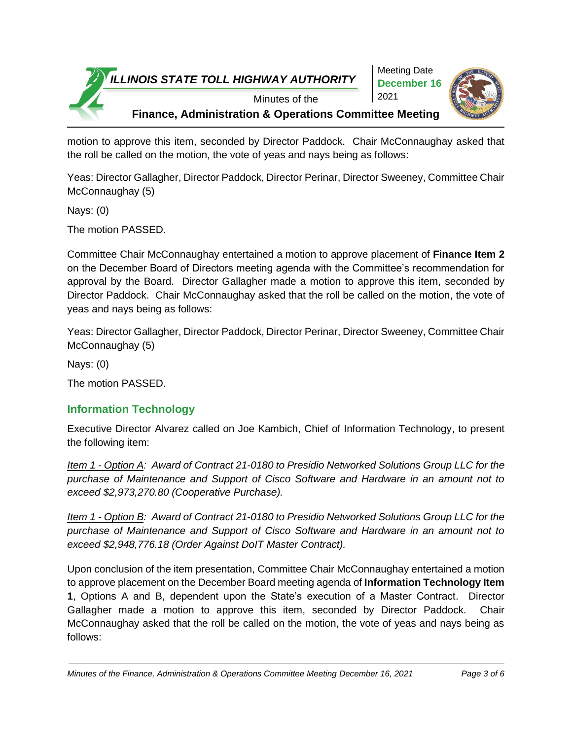

motion to approve this item, seconded by Director Paddock. Chair McConnaughay asked that the roll be called on the motion, the vote of yeas and nays being as follows:

Yeas: Director Gallagher, Director Paddock, Director Perinar, Director Sweeney, Committee Chair McConnaughay (5)

Nays: (0)

The motion PASSED.

Committee Chair McConnaughay entertained a motion to approve placement of **Finance Item 2** on the December Board of Directors meeting agenda with the Committee's recommendation for approval by the Board. Director Gallagher made a motion to approve this item, seconded by Director Paddock. Chair McConnaughay asked that the roll be called on the motion, the vote of yeas and nays being as follows:

Yeas: Director Gallagher, Director Paddock, Director Perinar, Director Sweeney, Committee Chair McConnaughay (5)

Nays: (0)

The motion PASSED.

### **Information Technology**

Executive Director Alvarez called on Joe Kambich, Chief of Information Technology, to present the following item:

*Item 1 - Option A: Award of Contract 21-0180 to Presidio Networked Solutions Group LLC for the purchase of Maintenance and Support of Cisco Software and Hardware in an amount not to exceed \$2,973,270.80 (Cooperative Purchase).*

*Item 1 - Option B: Award of Contract 21-0180 to Presidio Networked Solutions Group LLC for the purchase of Maintenance and Support of Cisco Software and Hardware in an amount not to exceed \$2,948,776.18 (Order Against DoIT Master Contract).*

Upon conclusion of the item presentation, Committee Chair McConnaughay entertained a motion to approve placement on the December Board meeting agenda of **Information Technology Item 1**, Options A and B, dependent upon the State's execution of a Master Contract. Director Gallagher made a motion to approve this item, seconded by Director Paddock. Chair McConnaughay asked that the roll be called on the motion, the vote of yeas and nays being as follows:

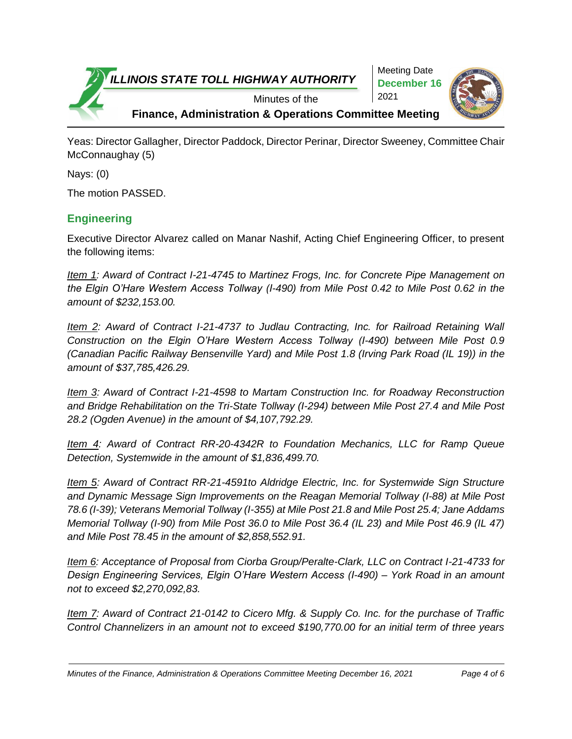

Yeas: Director Gallagher, Director Paddock, Director Perinar, Director Sweeney, Committee Chair McConnaughay (5)

Nays: (0)

The motion PASSED.

### **Engineering**

Executive Director Alvarez called on Manar Nashif, Acting Chief Engineering Officer, to present the following items:

*Item 1: Award of Contract I-21-4745 to Martinez Frogs, Inc. for Concrete Pipe Management on the Elgin O'Hare Western Access Tollway (I-490) from Mile Post 0.42 to Mile Post 0.62 in the amount of \$232,153.00.* 

*Item 2: Award of Contract I-21-4737 to Judlau Contracting, Inc. for Railroad Retaining Wall Construction on the Elgin O'Hare Western Access Tollway (I-490) between Mile Post 0.9 (Canadian Pacific Railway Bensenville Yard) and Mile Post 1.8 (Irving Park Road (IL 19)) in the amount of \$37,785,426.29.* 

*Item 3: Award of Contract I-21-4598 to Martam Construction Inc. for Roadway Reconstruction and Bridge Rehabilitation on the Tri-State Tollway (I-294) between Mile Post 27.4 and Mile Post 28.2 (Ogden Avenue) in the amount of \$4,107,792.29.* 

*Item 4: Award of Contract RR-20-4342R to Foundation Mechanics, LLC for Ramp Queue Detection, Systemwide in the amount of \$1,836,499.70.*

*Item 5: Award of Contract RR-21-4591to Aldridge Electric, Inc. for Systemwide Sign Structure and Dynamic Message Sign Improvements on the Reagan Memorial Tollway (I-88) at Mile Post 78.6 (I-39); Veterans Memorial Tollway (I-355) at Mile Post 21.8 and Mile Post 25.4; Jane Addams Memorial Tollway (I-90) from Mile Post 36.0 to Mile Post 36.4 (IL 23) and Mile Post 46.9 (IL 47) and Mile Post 78.45 in the amount of \$2,858,552.91.*

*Item 6: Acceptance of Proposal from Ciorba Group/Peralte-Clark, LLC on Contract I-21-4733 for Design Engineering Services, Elgin O'Hare Western Access (I-490) – York Road in an amount not to exceed \$2,270,092,83.*

*Item 7: Award of Contract 21-0142 to Cicero Mfg. & Supply Co. Inc. for the purchase of Traffic Control Channelizers in an amount not to exceed \$190,770.00 for an initial term of three years*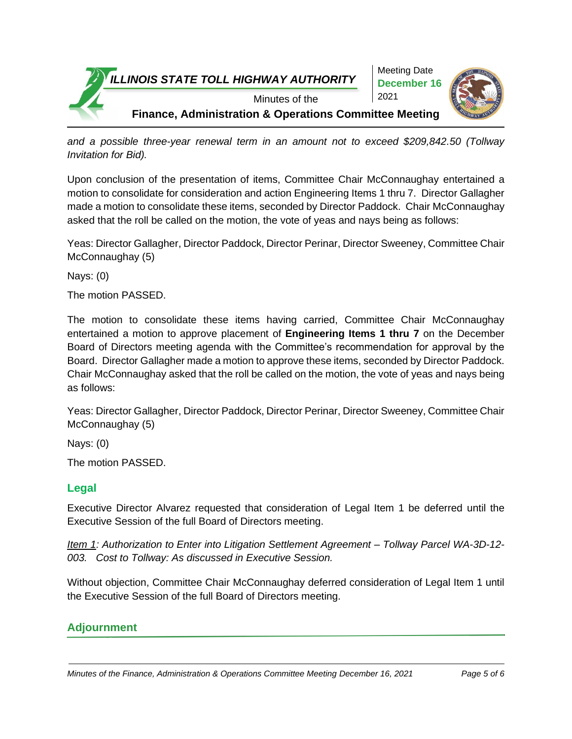

*and a possible three-year renewal term in an amount not to exceed \$209,842.50 (Tollway Invitation for Bid).*

Upon conclusion of the presentation of items, Committee Chair McConnaughay entertained a motion to consolidate for consideration and action Engineering Items 1 thru 7. Director Gallagher made a motion to consolidate these items, seconded by Director Paddock. Chair McConnaughay asked that the roll be called on the motion, the vote of yeas and nays being as follows:

Yeas: Director Gallagher, Director Paddock, Director Perinar, Director Sweeney, Committee Chair McConnaughay (5)

Nays: (0)

The motion PASSED.

The motion to consolidate these items having carried, Committee Chair McConnaughay entertained a motion to approve placement of **Engineering Items 1 thru 7** on the December Board of Directors meeting agenda with the Committee's recommendation for approval by the Board. Director Gallagher made a motion to approve these items, seconded by Director Paddock. Chair McConnaughay asked that the roll be called on the motion, the vote of yeas and nays being as follows:

Yeas: Director Gallagher, Director Paddock, Director Perinar, Director Sweeney, Committee Chair McConnaughay (5)

Nays: (0)

The motion PASSED.

### **Legal**

Executive Director Alvarez requested that consideration of Legal Item 1 be deferred until the Executive Session of the full Board of Directors meeting.

*Item 1: Authorization to Enter into Litigation Settlement Agreement – Tollway Parcel WA-3D-12- 003. Cost to Tollway: As discussed in Executive Session.*

Without objection, Committee Chair McConnaughay deferred consideration of Legal Item 1 until the Executive Session of the full Board of Directors meeting.

### **Adjournment**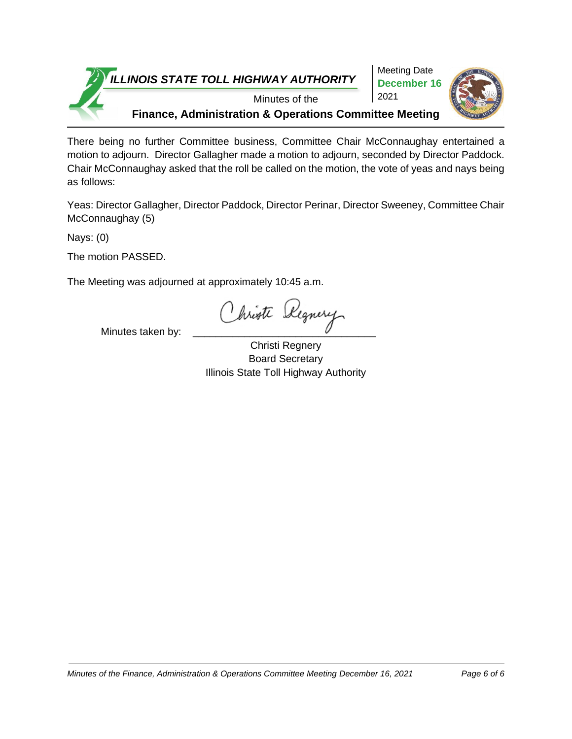

There being no further Committee business, Committee Chair McConnaughay entertained a motion to adjourn. Director Gallagher made a motion to adjourn, seconded by Director Paddock. Chair McConnaughay asked that the roll be called on the motion, the vote of yeas and nays being as follows:

Yeas: Director Gallagher, Director Paddock, Director Perinar, Director Sweeney, Committee Chair McConnaughay (5)

Nays: (0)

The motion PASSED.

The Meeting was adjourned at approximately 10:45 a.m.

Minutes taken by: Christ Regnery

Christi Regnery Board Secretary Illinois State Toll Highway Authority

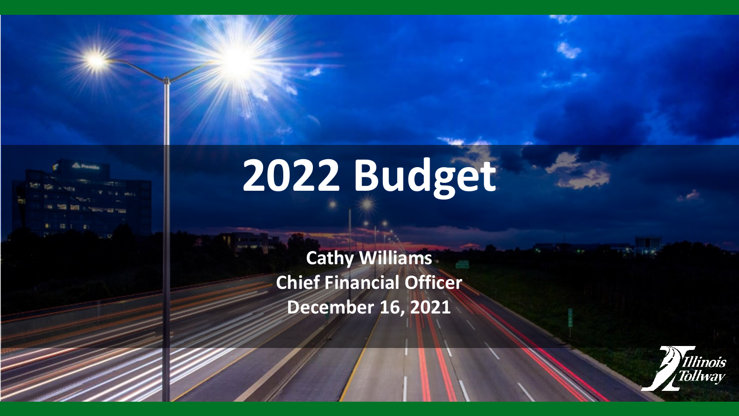

# **2022 Budget**

**Cathy Williams Chief Financial Officer December 16, 2021**

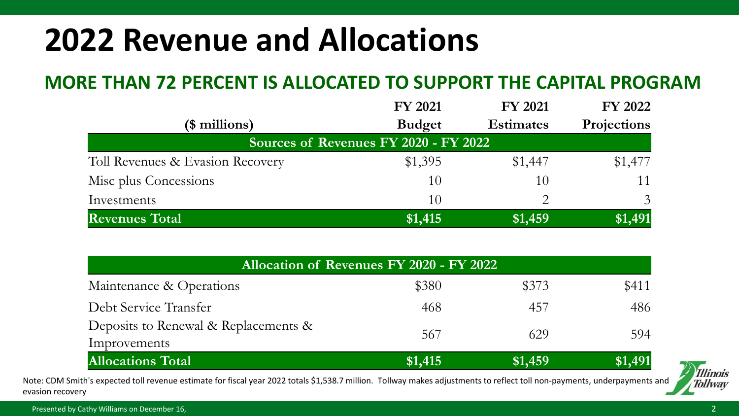# **2022 Revenue and Allocations**

## **MORE THAN 72 PERCENT IS ALLOCATED TO SUPPORT THE CAPITAL PROGRAM**

|                                       | <b>FY 2021</b> | <b>FY 2021</b>   | <b>FY 2022</b> |  |  |  |
|---------------------------------------|----------------|------------------|----------------|--|--|--|
| (\$ millions)                         | <b>Budget</b>  | <b>Estimates</b> | Projections    |  |  |  |
| Sources of Revenues FY 2020 - FY 2022 |                |                  |                |  |  |  |
| Toll Revenues & Evasion Recovery      | \$1,395        | \$1,447          | \$1,477        |  |  |  |
| Misc plus Concessions                 | 10             | 10               | 11             |  |  |  |
| Investments                           | 10             |                  | 3              |  |  |  |
| <b>Revenues Total</b>                 | \$1,415        | \$1,459          | \$1,491        |  |  |  |

| <b>Allocation of Revenues FY 2020 - FY 2022</b>      |         |         |         |  |  |
|------------------------------------------------------|---------|---------|---------|--|--|
| Maintenance & Operations                             | \$380   | \$373   | \$411   |  |  |
| Debt Service Transfer                                | 468     | 457     | 486     |  |  |
| Deposits to Renewal & Replacements &<br>Improvements | 567     | 629     | 594     |  |  |
| <b>Allocations Total</b>                             | \$1,415 | \$1,459 | \$1,491 |  |  |

Note: CDM Smith's expected toll revenue estimate for fiscal year 2022 totals \$1,538.7 million. Tollway makes adjustments to reflect toll non-payments, underpayments and evasion recovery



Presented by Cathy Williams on December 16,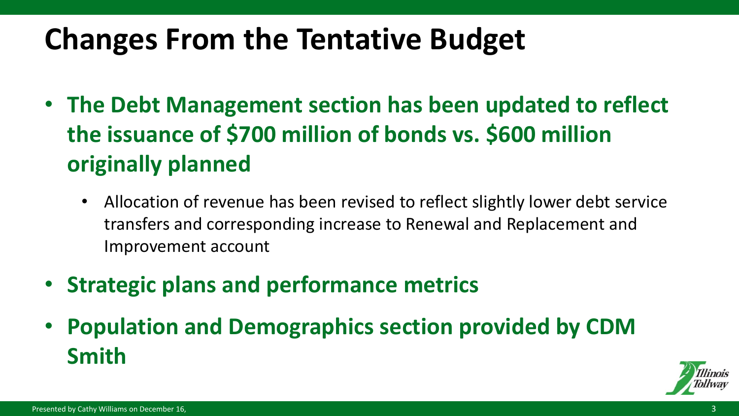# **Changes From the Tentative Budget**

- **The Debt Management section has been updated to reflect the issuance of \$700 million of bonds vs. \$600 million originally planned** 
	- Allocation of revenue has been revised to reflect slightly lower debt service transfers and corresponding increase to Renewal and Replacement and Improvement account
- **Strategic plans and performance metrics**
- **Population and Demographics section provided by CDM Smith**

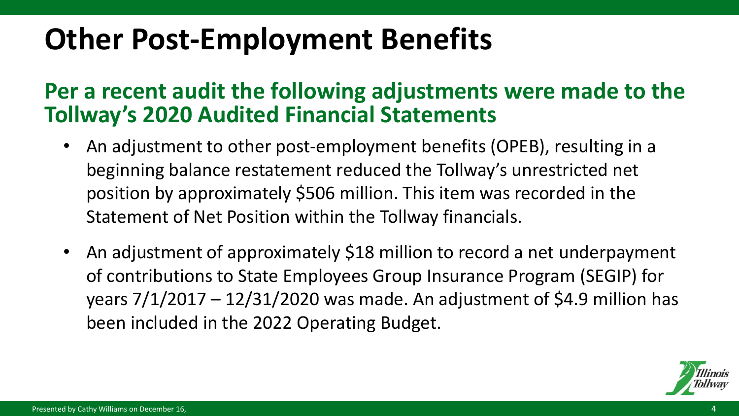# **Other Post-Employment Benefits**

# **Per a recent audit the following adjustments were made to the Tollway's 2020 Audited Financial Statements**

- An adjustment to other post-employment benefits (OPEB), resulting in a beginning balance restatement reduced the Tollway's unrestricted net position by approximately \$506 million. This item was recorded in the Statement of Net Position within the Tollway financials.
- An adjustment of approximately \$18 million to record a net underpayment of contributions to State Employees Group Insurance Program (SEGIP) for years  $7/1/2017 - 12/31/2020$  was made. An adjustment of \$4.9 million has been included in the 2022 Operating Budget.

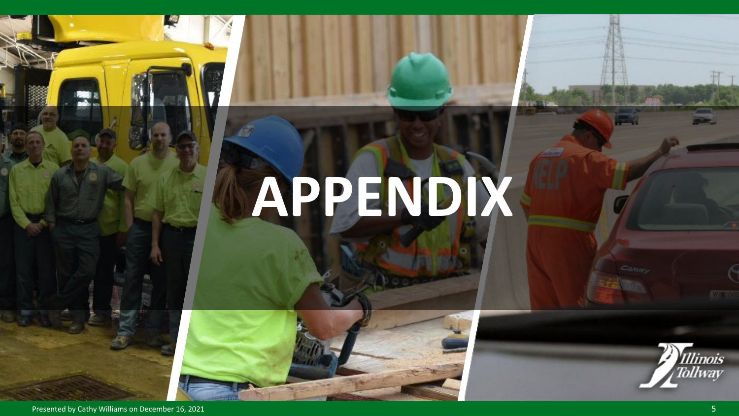# **APPENDIX**





Presented by Cathy Williams on December 16, 2021 5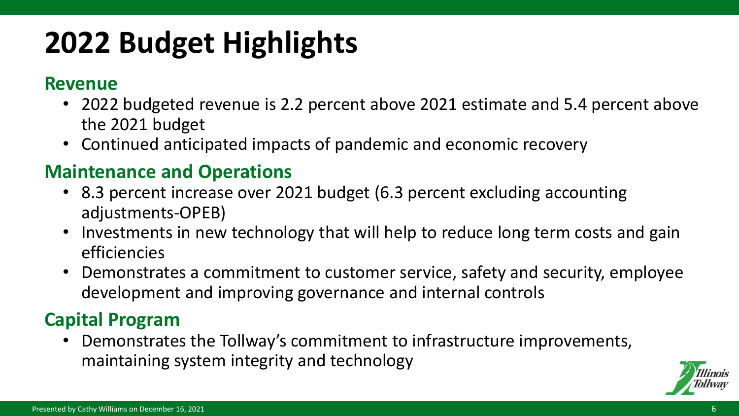# **2022 Budget Highlights**

### **Revenue**

- 2022 budgeted revenue is 2.2 percent above 2021 estimate and 5.4 percent above the 2021 budget
- Continued anticipated impacts of pandemic and economic recovery

# **Maintenance and Operations**

- 8.3 percent increase over 2021 budget (6.3 percent excluding accounting adjustments-OPEB)
- Investments in new technology that will help to reduce long term costs and gain efficiencies
- Demonstrates a commitment to customer service, safety and security, employee development and improving governance and internal controls

# **Capital Program**

• Demonstrates the Tollway's commitment to infrastructure improvements, maintaining system integrity and technology

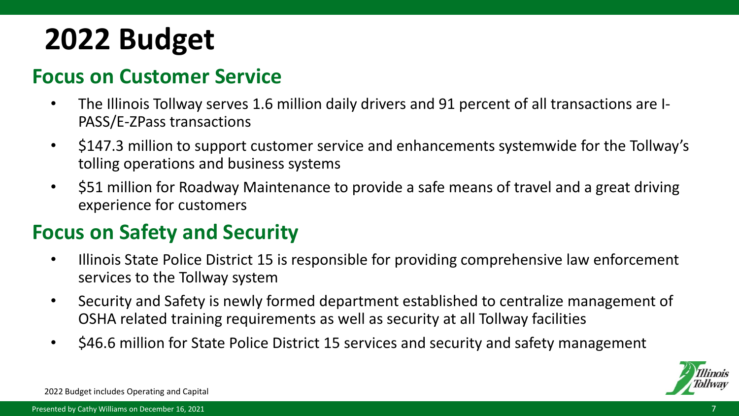# **2022 Budget**

# **Focus on Customer Service**

- The Illinois Tollway serves 1.6 million daily drivers and 91 percent of all transactions are I-PASS/E-ZPass transactions
- \$147.3 million to support customer service and enhancements systemwide for the Tollway's tolling operations and business systems
- \$51 million for Roadway Maintenance to provide a safe means of travel and a great driving experience for customers

# **Focus on Safety and Security**

- Illinois State Police District 15 is responsible for providing comprehensive law enforcement services to the Tollway system
- Security and Safety is newly formed department established to centralize management of OSHA related training requirements as well as security at all Tollway facilities
- \$46.6 million for State Police District 15 services and security and safety management



2022 Budget includes Operating and Capital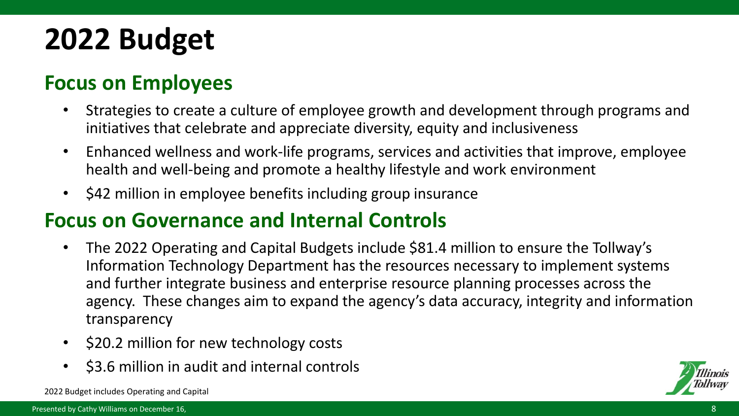# **2022 Budget**

# **Focus on Employees**

- Strategies to create a culture of employee growth and development through programs and initiatives that celebrate and appreciate diversity, equity and inclusiveness
- Enhanced wellness and work-life programs, services and activities that improve, employee health and well-being and promote a healthy lifestyle and work environment
- \$42 million in employee benefits including group insurance

# **Focus on Governance and Internal Controls**

- The 2022 Operating and Capital Budgets include \$81.4 million to ensure the Tollway's Information Technology Department has the resources necessary to implement systems and further integrate business and enterprise resource planning processes across the agency. These changes aim to expand the agency's data accuracy, integrity and information transparency
- \$20.2 million for new technology costs
- \$3.6 million in audit and internal controls



2022 Budget includes Operating and Capital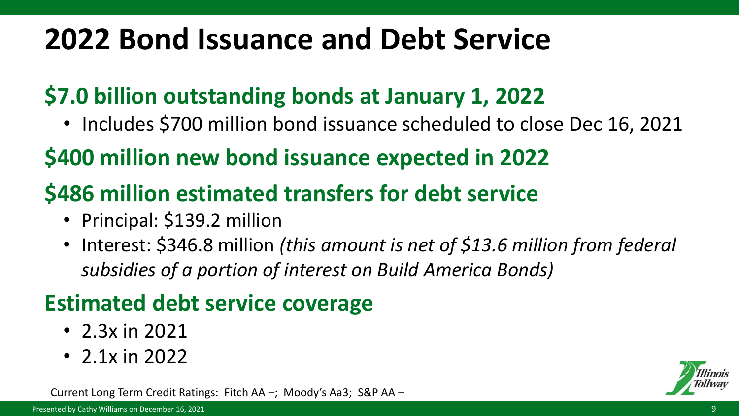# **2022 Bond Issuance and Debt Service**

# **\$7.0 billion outstanding bonds at January 1, 2022**

• Includes \$700 million bond issuance scheduled to close Dec 16, 2021

# **\$400 million new bond issuance expected in 2022**

# **\$486 million estimated transfers for debt service**

- Principal: \$139.2 million
- Interest: \$346.8 million *(this amount is net of \$13.6 million from federal subsidies of a portion of interest on Build America Bonds)*

# **Estimated debt service coverage**

- 2.3x in 2021
- 2.1 $\times$  in 2022

Current Long Term Credit Ratings: Fitch AA –; Moody's Aa3; S&P AA –

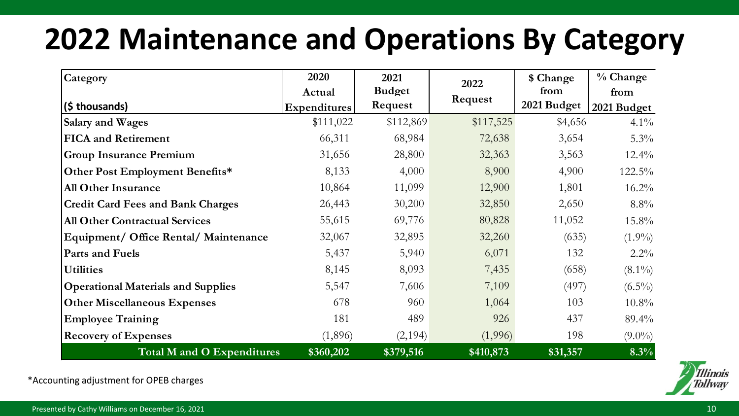# **2022 Maintenance and Operations By Category**

| Category                                  | 2020         | 2021          | 2022      | \$ Change   | % Change    |
|-------------------------------------------|--------------|---------------|-----------|-------------|-------------|
|                                           | Actual       | <b>Budget</b> |           | from        | from        |
| (\$ thousands)                            | Expenditures | Request       | Request   | 2021 Budget | 2021 Budget |
| Salary and Wages                          | \$111,022    | \$112,869     | \$117,525 | \$4,656     | $4.1\%$     |
| <b>FICA</b> and Retirement                | 66,311       | 68,984        | 72,638    | 3,654       | 5.3%        |
| <b>Group Insurance Premium</b>            | 31,656       | 28,800        | 32,363    | 3,563       | 12.4%       |
| Other Post Employment Benefits*           | 8,133        | 4,000         | 8,900     | 4,900       | 122.5%      |
| <b>All Other Insurance</b>                | 10,864       | 11,099        | 12,900    | 1,801       | 16.2%       |
| <b>Credit Card Fees and Bank Charges</b>  | 26,443       | 30,200        | 32,850    | 2,650       | 8.8%        |
| <b>All Other Contractual Services</b>     | 55,615       | 69,776        | 80,828    | 11,052      | 15.8%       |
| Equipment/ Office Rental/ Maintenance     | 32,067       | 32,895        | 32,260    | (635)       | $(1.9\%)$   |
| Parts and Fuels                           | 5,437        | 5,940         | 6,071     | 132         | 2.2%        |
| <b>Utilities</b>                          | 8,145        | 8,093         | 7,435     | (658)       | $(8.1\%)$   |
| <b>Operational Materials and Supplies</b> | 5,547        | 7,606         | 7,109     | (497)       | $(6.5\%)$   |
| <b>Other Miscellaneous Expenses</b>       | 678          | 960           | 1,064     | 103         | $10.8\%$    |
| <b>Employee Training</b>                  | 181          | 489           | 926       | 437         | 89.4%       |
| <b>Recovery of Expenses</b>               | (1,896)      | (2,194)       | (1,996)   | 198         | $(9.0\%)$   |
| Total M and O Expenditures                | \$360,202    | \$379,516     | \$410,873 | \$31,357    | 8.3%        |

\*Accounting adjustment for OPEB charges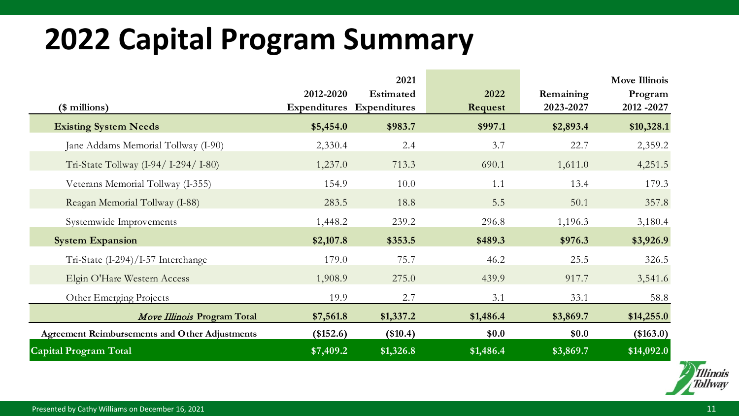# **2022 Capital Program Summary**

|                                                       |           | 2021                      |           |           | <b>Move Illinois</b> |
|-------------------------------------------------------|-----------|---------------------------|-----------|-----------|----------------------|
|                                                       | 2012-2020 | Estimated                 | 2022      | Remaining | Program              |
| (\$ millions)                                         |           | Expenditures Expenditures | Request   | 2023-2027 | 2012 - 2027          |
| <b>Existing System Needs</b>                          | \$5,454.0 | \$983.7                   | \$997.1   | \$2,893.4 | \$10,328.1           |
| Jane Addams Memorial Tollway (I-90)                   | 2,330.4   | 2.4                       | 3.7       | 22.7      | 2,359.2              |
| Tri-State Tollway (I-94/ I-294/ I-80)                 | 1,237.0   | 713.3                     | 690.1     | 1,611.0   | 4,251.5              |
| Veterans Memorial Tollway (I-355)                     | 154.9     | 10.0                      | 1.1       | 13.4      | 179.3                |
| Reagan Memorial Tollway (I-88)                        | 283.5     | 18.8                      | 5.5       | 50.1      | 357.8                |
| Systemwide Improvements                               | 1,448.2   | 239.2                     | 296.8     | 1,196.3   | 3,180.4              |
| <b>System Expansion</b>                               | \$2,107.8 | \$353.5                   | \$489.3   | \$976.3   | \$3,926.9            |
| Tri-State (I-294)/I-57 Interchange                    | 179.0     | 75.7                      | 46.2      | 25.5      | 326.5                |
| Elgin O'Hare Western Access                           | 1,908.9   | 275.0                     | 439.9     | 917.7     | 3,541.6              |
| Other Emerging Projects                               | 19.9      | 2.7                       | 3.1       | 33.1      | 58.8                 |
| Move Illinois Program Total                           | \$7,561.8 | \$1,337.2                 | \$1,486.4 | \$3,869.7 | \$14,255.0           |
| <b>Agreement Reimbursements and Other Adjustments</b> | (\$152.6) | (\$10.4)                  | \$0.0     | \$0.0     | (\$163.0)            |
| Capital Program Total                                 | \$7,409.2 | \$1,326.8                 | \$1,486.4 | \$3,869.7 | \$14,092.0           |

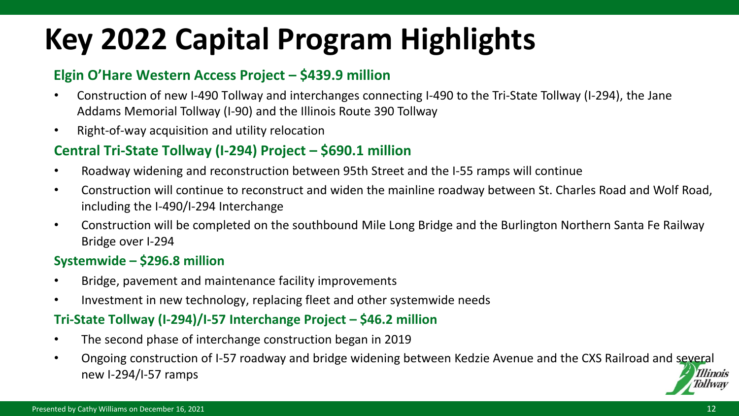# **Key 2022 Capital Program Highlights**

### **Elgin O'Hare Western Access Project – \$439.9 million**

- Construction of new I-490 Tollway and interchanges connecting I-490 to the Tri-State Tollway (I-294), the Jane Addams Memorial Tollway (I-90) and the Illinois Route 390 Tollway
- Right-of-way acquisition and utility relocation

### **Central Tri-State Tollway (I-294) Project – \$690.1 million**

- Roadway widening and reconstruction between 95th Street and the I-55 ramps will continue
- Construction will continue to reconstruct and widen the mainline roadway between St. Charles Road and Wolf Road, including the I-490/I-294 Interchange
- Construction will be completed on the southbound Mile Long Bridge and the Burlington Northern Santa Fe Railway Bridge over I-294

### **Systemwide – \$296.8 million**

- Bridge, pavement and maintenance facility improvements
- Investment in new technology, replacing fleet and other systemwide needs

### **Tri-State Tollway (I-294)/I-57 Interchange Project – \$46.2 million**

- The second phase of interchange construction began in 2019
- Ongoing construction of I-57 roadway and bridge widening between Kedzie Avenue and the CXS Railroad and several new I-294/I-57 ramps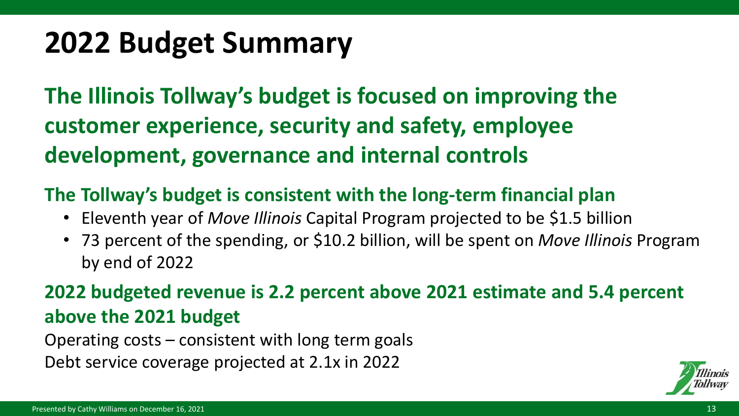# **2022 Budget Summary**

**The Illinois Tollway's budget is focused on improving the customer experience, security and safety, employee development, governance and internal controls**

## **The Tollway's budget is consistent with the long-term financial plan**

- Eleventh year of *Move Illinois* Capital Program projected to be \$1.5 billion
- 73 percent of the spending, or \$10.2 billion, will be spent on *Move Illinois* Program by end of 2022

# **2022 budgeted revenue is 2.2 percent above 2021 estimate and 5.4 percent above the 2021 budget**

Operating costs – consistent with long term goals Debt service coverage projected at 2.1x in 2022